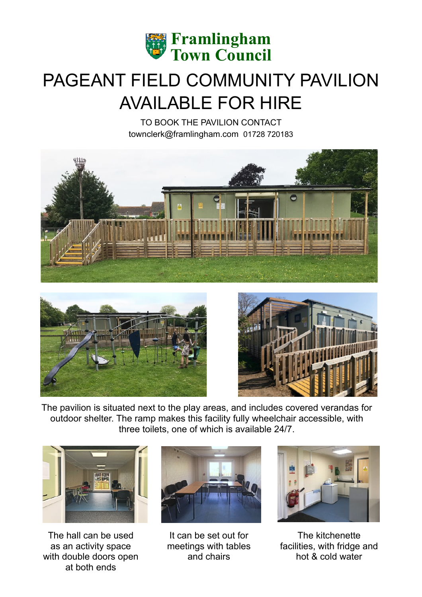

## PAGEANT FIELD COMMUNITY PAVILION AVAILABLE FOR HIRE

TO BOOK THE PAVILION CONTACT townclerk@framlingham.com 01728 720183







The pavilion is situated next to the play areas, and includes covered verandas for outdoor shelter. The ramp makes this facility fully wheelchair accessible, with three toilets, one of which is available 24/7.



The hall can be used as an activity space with double doors open at both ends



It can be set out for meetings with tables and chairs



The kitchenette facilities, with fridge and hot & cold water